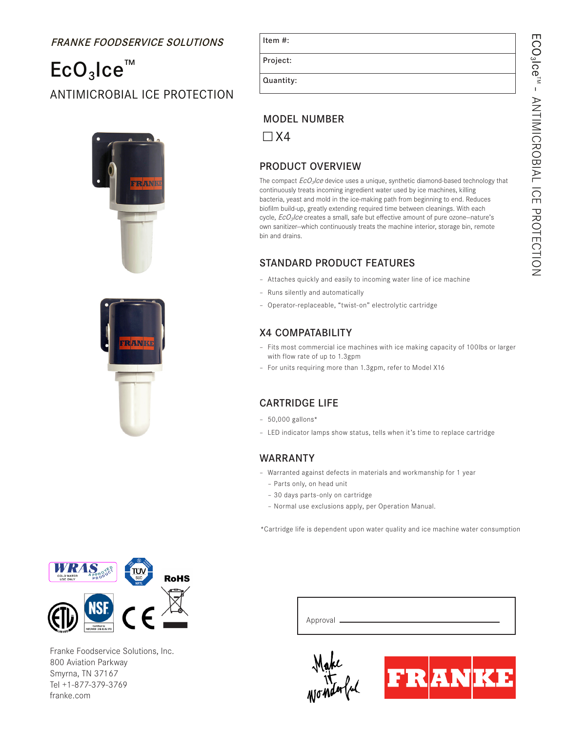# FRANKE FOODSERVICE SOLUTIONS

# $ECO<sub>3</sub>$ Ice™ ANTIMICROBIAL ICE PROTECTION





Project:

Quantity:

### MODEL NUMBER

 $\Box$  X4

## PRODUCT OVERVIEW

The compact  $EcO_3/ce$  device uses a unique, synthetic diamond-based technology that continuously treats incoming ingredient water used by ice machines, killing bacteria, yeast and mold in the ice-making path from beginning to end. Reduces biofilm build-up, greatly extending required time between cleanings. With each cycle,  $EcO_3$ Ice creates a small, safe but effective amount of pure ozone–nature's own sanitizer--which continuously treats the machine interior, storage bin, remote bin and drains.

#### STANDARD PRODUCT FEATURES

- Attaches quickly and easily to incoming water line of ice machine
- Runs silently and automatically
- Operator-replaceable, "twist-on" electrolytic cartridge

### X4 COMPATABILITY

- Fits most commercial ice machines with ice making capacity of 100lbs or larger with flow rate of up to 1.3gpm
- For units requiring more than 1.3gpm, refer to Model X16

#### CARTRIDGE LIFE

- $-50,000$  gallons\*
- LED indicator lamps show status, tells when it's time to replace cartridge

#### WARRANTY

- Warranted against defects in materials and workmanship for 1 year – Parts only, on head unit
	- 30 days parts-only on cartridge
	- Normal use exclusions apply, per Operation Manual.

\*Cartridge life is dependent upon water quality and ice machine water consumption



Franke Foodservice Solutions, Inc. 800 Aviation Parkway Smyrna, TN 37167 Tel +1-877-379-3769 franke.com